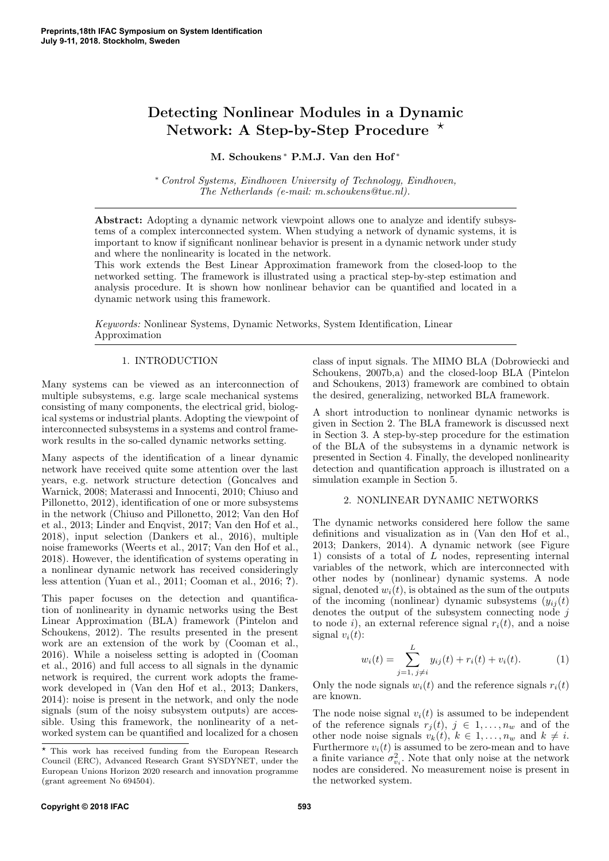# Detecting Nonlinear Modules in a Dynamic Network: A Step-by-Step Procedure  $\star$

# M. Schoukens <sup>∗</sup> P.M.J. Van den Hof <sup>∗</sup>

<sup>∗</sup> Control Systems, Eindhoven University of Technology, Eindhoven, The Netherlands (e-mail: m.schoukens@tue.nl).

Abstract: Adopting a dynamic network viewpoint allows one to analyze and identify subsystems of a complex interconnected system. When studying a network of dynamic systems, it is important to know if significant nonlinear behavior is present in a dynamic network under study and where the nonlinearity is located in the network.

This work extends the Best Linear Approximation framework from the closed-loop to the networked setting. The framework is illustrated using a practical step-by-step estimation and analysis procedure. It is shown how nonlinear behavior can be quantified and located in a dynamic network using this framework.

Keywords: Nonlinear Systems, Dynamic Networks, System Identification, Linear Approximation

## 1. INTRODUCTION

Many systems can be viewed as an interconnection of multiple subsystems, e.g. large scale mechanical systems consisting of many components, the electrical grid, biological systems or industrial plants. Adopting the viewpoint of interconnected subsystems in a systems and control framework results in the so-called dynamic networks setting.

Many aspects of the identification of a linear dynamic network have received quite some attention over the last years, e.g. network structure detection (Goncalves and Warnick, 2008; Materassi and Innocenti, 2010; Chiuso and Pillonetto, 2012), identification of one or more subsystems in the network (Chiuso and Pillonetto, 2012; Van den Hof et al., 2013; Linder and Enqvist, 2017; Van den Hof et al., 2018), input selection (Dankers et al., 2016), multiple noise frameworks (Weerts et al., 2017; Van den Hof et al., 2018). However, the identification of systems operating in a nonlinear dynamic network has received consideringly less attention (Yuan et al., 2011; Cooman et al., 2016; ?).

This paper focuses on the detection and quantification of nonlinearity in dynamic networks using the Best Linear Approximation (BLA) framework (Pintelon and Schoukens, 2012). The results presented in the present work are an extension of the work by (Cooman et al., 2016). While a noiseless setting is adopted in (Cooman et al., 2016) and full access to all signals in the dynamic network is required, the current work adopts the framework developed in (Van den Hof et al., 2013; Dankers, 2014): noise is present in the network, and only the node signals (sum of the noisy subsystem outputs) are accessible. Using this framework, the nonlinearity of a networked system can be quantified and localized for a chosen class of input signals. The MIMO BLA (Dobrowiecki and Schoukens, 2007b,a) and the closed-loop BLA (Pintelon and Schoukens, 2013) framework are combined to obtain the desired, generalizing, networked BLA framework.

A short introduction to nonlinear dynamic networks is given in Section 2. The BLA framework is discussed next in Section 3. A step-by-step procedure for the estimation of the BLA of the subsystems in a dynamic network is presented in Section 4. Finally, the developed nonlinearity detection and quantification approach is illustrated on a simulation example in Section 5.

## 2. NONLINEAR DYNAMIC NETWORKS

The dynamic networks considered here follow the same definitions and visualization as in (Van den Hof et al., 2013; Dankers, 2014). A dynamic network (see Figure 1) consists of a total of L nodes, representing internal variables of the network, which are interconnected with other nodes by (nonlinear) dynamic systems. A node signal, denoted  $w<sub>i</sub>(t)$ , is obtained as the sum of the outputs of the incoming (nonlinear) dynamic subsystems  $(y_{ij}(t))$ denotes the output of the subsystem connecting node  $j$ to node i), an external reference signal  $r_i(t)$ , and a noise signal  $v_i(t)$ :

$$
w_i(t) = \sum_{j=1, j \neq i}^{L} y_{ij}(t) + r_i(t) + v_i(t).
$$
 (1)

Only the node signals  $w_i(t)$  and the reference signals  $r_i(t)$ are known.

The node noise signal  $v_i(t)$  is assumed to be independent of the reference signals  $r_i(t)$ ,  $j \in 1, \ldots, n_w$  and of the other node noise signals  $v_k(t)$ ,  $k \in 1, \ldots, n_w$  and  $k \neq i$ . Furthermore  $v_i(t)$  is assumed to be zero-mean and to have a finite variance  $\sigma_{v_i}^2$ . Note that only noise at the network nodes are considered. No measurement noise is present in the networked system.

 $^\star$  This work has received funding from the European Research Council (ERC), Advanced Research Grant SYSDYNET, under the European Unions Horizon 2020 research and innovation programme (grant agreement No 694504).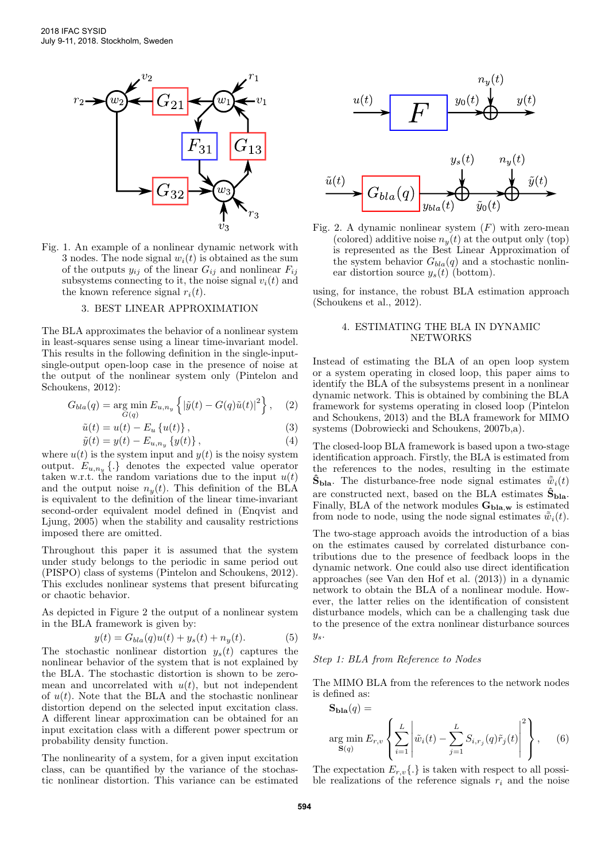

Fig. 1. An example of a nonlinear dynamic network with 3 nodes. The node signal  $w_i(t)$  is obtained as the sum of the outputs  $y_{ij}$  of the linear  $G_{ij}$  and nonlinear  $F_{ij}$ subsystems connecting to it, the noise signal  $v_i(t)$  and the known reference signal  $r_i(t)$ .

#### 3. BEST LINEAR APPROXIMATION

The BLA approximates the behavior of a nonlinear system in least-squares sense using a linear time-invariant model. This results in the following definition in the single-inputsingle-output open-loop case in the presence of noise at the output of the nonlinear system only (Pintelon and Schoukens, 2012):

$$
G_{bla}(q) = \underset{G(q)}{\text{arg min}} E_{u,n_y} \left\{ \left| \tilde{y}(t) - G(q)\tilde{u}(t) \right|^2 \right\}, \quad (2)
$$

$$
\tilde{u}(t) = u(t) - E_u \left\{ u(t) \right\},\tag{3}
$$

$$
\tilde{y}(t) = y(t) - E_{u,n_y} \{y(t)\},\tag{4}
$$

where  $u(t)$  is the system input and  $y(t)$  is the noisy system output.  $E_{u,n_y} \{.\}$  denotes the expected value operator taken w.r.t. the random variations due to the input  $u(t)$ and the output noise  $n_y(t)$ . This definition of the BLA is equivalent to the definition of the linear time-invariant second-order equivalent model defined in (Enqvist and Ljung, 2005) when the stability and causality restrictions imposed there are omitted.

Throughout this paper it is assumed that the system under study belongs to the periodic in same period out (PISPO) class of systems (Pintelon and Schoukens, 2012). This excludes nonlinear systems that present bifurcating or chaotic behavior.

As depicted in Figure 2 the output of a nonlinear system in the BLA framework is given by:

$$
y(t) = G_{bla}(q)u(t) + y_s(t) + n_y(t).
$$
 (5)

The stochastic nonlinear distortion  $y_s(t)$  captures the nonlinear behavior of the system that is not explained by the BLA. The stochastic distortion is shown to be zeromean and uncorrelated with  $u(t)$ , but not independent of  $u(t)$ . Note that the BLA and the stochastic nonlinear distortion depend on the selected input excitation class. A different linear approximation can be obtained for an input excitation class with a different power spectrum or probability density function.

The nonlinearity of a system, for a given input excitation class, can be quantified by the variance of the stochastic nonlinear distortion. This variance can be estimated





Fig. 2. A dynamic nonlinear system  $(F)$  with zero-mean (colored) additive noise  $n_y(t)$  at the output only (top) is represented as the Best Linear Approximation of the system behavior  $G_{bla}(q)$  and a stochastic nonlinear distortion source  $y_s(t)$  (bottom).

using, for instance, the robust BLA estimation approach (Schoukens et al., 2012).

#### 4. ESTIMATING THE BLA IN DYNAMIC NETWORKS

Instead of estimating the BLA of an open loop system or a system operating in closed loop, this paper aims to identify the BLA of the subsystems present in a nonlinear dynamic network. This is obtained by combining the BLA framework for systems operating in closed loop (Pintelon and Schoukens, 2013) and the BLA framework for MIMO systems (Dobrowiecki and Schoukens, 2007b,a).

The closed-loop BLA framework is based upon a two-stage identification approach. Firstly, the BLA is estimated from the references to the nodes, resulting in the estimate  $\mathbf{S}_{\text{bla}}$ . The disturbance-free node signal estimates  $\bar{w}_i(t)$ are constructed next, based on the BLA estimates  $\hat{\mathbf{S}}_{\text{bla}}$ . Finally, BLA of the network modules  $G_{\text{bla},w}$  is estimated from node to node, using the node signal estimates  $\tilde{\bar{w}}_i(t)$ .

The two-stage approach avoids the introduction of a bias on the estimates caused by correlated disturbance contributions due to the presence of feedback loops in the dynamic network. One could also use direct identification approaches (see Van den Hof et al. (2013)) in a dynamic network to obtain the BLA of a nonlinear module. However, the latter relies on the identification of consistent disturbance models, which can be a challenging task due to the presence of the extra nonlinear disturbance sources  $y_s$ .

# Step 1: BLA from Reference to Nodes

The MIMO BLA from the references to the network nodes is defined as:

$$
\mathbf{S}_{\mathbf{bla}}(q) = \underset{\mathbf{S}(q)}{\operatorname{arg min}} E_{r,v} \left\{ \sum_{i=1}^{L} \left| \tilde{w}_i(t) - \sum_{j=1}^{L} S_{i,r_j}(q) \tilde{r}_j(t) \right|^2 \right\}, \quad (6)
$$

The expectation  $E_{r,v}\{\cdot\}$  is taken with respect to all possible realizations of the reference signals  $r_i$  and the noise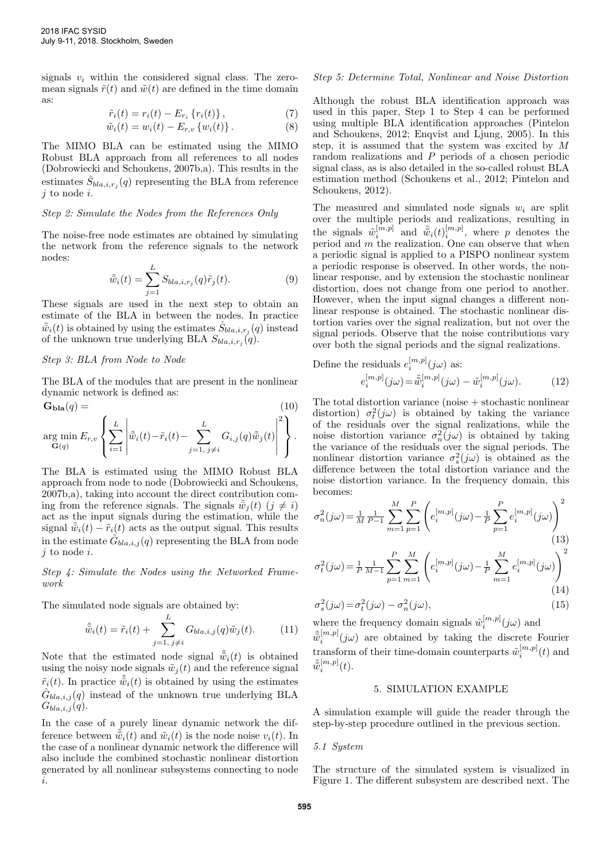signals  $v_i$  within the considered signal class. The zeromean signals  $\tilde{r}(t)$  and  $\tilde{w}(t)$  are defined in the time domain as:

$$
\tilde{r}_i(t) = r_i(t) - E_{r_i} \left\{ r_i(t) \right\},\tag{7}
$$

$$
\tilde{w}_i(t) = w_i(t) - E_{r,v} \{ w_i(t) \}.
$$
\n(8)

The MIMO BLA can be estimated using the MIMO Robust BLA approach from all references to all nodes (Dobrowiecki and Schoukens, 2007b,a). This results in the estimates  $\hat{S}_{bla,i,r_j}(q)$  representing the BLA from reference  $j$  to node  $i$ .

## Step 2: Simulate the Nodes from the References Only

The noise-free node estimates are obtained by simulating the network from the reference signals to the network nodes:

$$
\tilde{\tilde{w}}_i(t) = \sum_{j=1}^L S_{bla,i,r_j}(q)\tilde{r}_j(t). \tag{9}
$$

These signals are used in the next step to obtain an estimate of the BLA in between the nodes. In practice  $\tilde{\bar{w}}_i(t)$  is obtained by using the estimates  $\hat{S}_{bla,i,r_j}(q)$  instead of the unknown true underlying BLA  $S_{bla,i,r_j}(q)$ .

# Step 3: BLA from Node to Node

The BLA of the modules that are present in the nonlinear dynamic network is defined as:

 $\mathbf{G}_{\mathbf{bla}}(q) =$  (10)  $\sqrt{ }$  $\overline{1}$  $\vert^2$ 

$$
\argmin_{\mathbf{G}(q)} E_{r,v} \left\{ \sum_{i=1}^{L} \left| \tilde{\tilde{w}}_i(t) - \tilde{r}_i(t) - \sum_{j=1,\ j\neq i}^{L} G_{i,j}(q) \tilde{\tilde{w}}_j(t) \right| \right\}.
$$

The BLA is estimated using the MIMO Robust BLA approach from node to node (Dobrowiecki and Schoukens, 2007b,a), taking into account the direct contribution coming from the reference signals. The signals  $\tilde{\bar{w}}_i(t)$  ( $j \neq i$ ) act as the input signals during the estimation, while the signal  $\tilde{\psi}_i(t) - \tilde{r}_i(t)$  acts as the output signal. This results in the estimate  $\hat{G}_{bla,i,j}(q)$  representing the BLA from node  $j$  to node  $i$ .

Step 4: Simulate the Nodes using the Networked Framework

The simulated node signals are obtained by:

$$
\tilde{\bar{\bar{w}}}_{i}(t) = \tilde{r}_{i}(t) + \sum_{j=1, j \neq i}^{L} G_{bla,i,j}(q)\tilde{w}_{j}(t). \tag{11}
$$

Note that the estimated node signal  $\tilde{\bar{w}}_i(t)$  is obtained using the noisy node signals  $\tilde{w}_j(t)$  and the reference signal  $\tilde{r}_i(t)$ . In practice  $\bar{\bar{w}}_i(t)$  is obtained by using the estimates  $\hat{G}_{bla,i,j}(q)$  instead of the unknown true underlying BLA  $G_{bla,i,j}(q).$ 

In the case of a purely linear dynamic network the difference between  $\tilde{\bar{w}}_i(t)$  and  $\tilde{w}_i(t)$  is the node noise  $v_i(t)$ . In the case of a nonlinear dynamic network the difference will also include the combined stochastic nonlinear distortion generated by all nonlinear subsystems connecting to node i.

## Step 5: Determine Total, Nonlinear and Noise Distortion

Although the robust BLA identification approach was used in this paper, Step 1 to Step 4 can be performed using multiple BLA identification approaches (Pintelon and Schoukens, 2012; Enqvist and Ljung, 2005). In this step, it is assumed that the system was excited by M random realizations and P periods of a chosen periodic signal class, as is also detailed in the so-called robust BLA estimation method (Schoukens et al., 2012; Pintelon and Schoukens, 2012).

The measured and simulated node signals  $w_i$  are split over the multiple periods and realizations, resulting in the signals  $\tilde{w}_i^{[m,p]}$  and  $\tilde{\bar{w}}_i(t)_{i}^{[m,p]}$ , where p denotes the period and  $m$  the realization. One can observe that when a periodic signal is applied to a PISPO nonlinear system a periodic response is observed. In other words, the nonlinear response, and by extension the stochastic nonlinear distortion, does not change from one period to another. However, when the input signal changes a different nonlinear response is obtained. The stochastic nonlinear distortion varies over the signal realization, but not over the signal periods. Observe that the noise contributions vary over both the signal periods and the signal realizations.

Define the residuals 
$$
e_i^{[m,p]}(j\omega)
$$
 as:  
\n
$$
e_i^{[m,p]}(j\omega) = \tilde{\bar{w}}_i^{[m,p]}(j\omega) - \tilde{w}_i^{[m,p]}(j\omega).
$$
\n(12)

[m,p]

The total distortion variance (noise + stochastic nonlinear distortion)  $\sigma_t^2(j\omega)$  is obtained by taking the variance of the residuals over the signal realizations, while the noise distortion variance  $\sigma_n^2(j\omega)$  is obtained by taking the variance of the residuals over the signal periods. The nonlinear distortion variance  $\sigma_s^2(j\omega)$  is obtained as the difference between the total distortion variance and the noise distortion variance. In the frequency domain, this becomes:

$$
\sigma_n^2(j\omega) = \frac{1}{M} \frac{1}{P-1} \sum_{m=1}^M \sum_{p=1}^P \left( e_i^{[m,p]}(j\omega) - \frac{1}{P} \sum_{p=1}^P e_i^{[m,p]}(j\omega) \right)^2
$$
\n(13)

$$
\sigma_t^2(j\omega) = \frac{1}{P} \frac{1}{M-1} \sum_{p=1}^P \sum_{m=1}^M \left( e_i^{[m,p]}(j\omega) - \frac{1}{P} \sum_{m=1}^M e_i^{[m,p]}(j\omega) \right)^2
$$
\n(14)

$$
\sigma_s^2(j\omega) = \sigma_t^2(j\omega) - \sigma_n^2(j\omega),\tag{15}
$$

where the frequency domain signals  $\tilde{w}_i^{[m,p]}(j\omega)$  and  $\tilde{\bar{w}}_i^{[m,p]}(j\omega)$  are obtained by taking the discrete Fourier transform of their time-domain counterparts  $\tilde{w}_i^{[m,p]}(t)$  and  $\tilde{\bar{w}}_i^{[m,p]}(t)$ .

## 5. SIMULATION EXAMPLE

A simulation example will guide the reader through the step-by-step procedure outlined in the previous section.

#### 5.1 System

The structure of the simulated system is visualized in Figure 1. The different subsystem are described next. The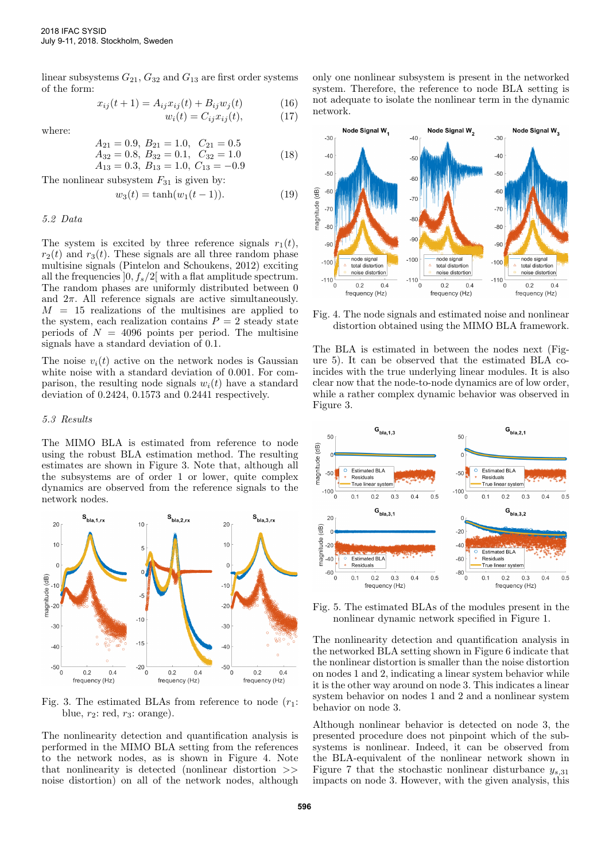linear subsystems  $G_{21}$ ,  $G_{32}$  and  $G_{13}$  are first order systems of the form:

$$
x_{ij}(t+1) = A_{ij}x_{ij}(t) + B_{ij}w_j(t)
$$
 (16)  

$$
w_i(t) = C_{ij}x_{ij}(t),
$$
 (17)

where:

$$
A_{21} = 0.9, B_{21} = 1.0, C_{21} = 0.5
$$
  
\n $A_{32} = 0.8, B_{32} = 0.1, C_{32} = 1.0$  (18)

$$
A_{32} = 0.8
$$
,  $B_{32} = 0.1$ ,  $C_{32} = 1.0$   
\n $A_{13} = 0.3$ ,  $B_{13} = 1.0$ ,  $C_{13} = -0.9$  (18)

The nonlinear subsystem  $F_{31}$  is given by:

$$
w_3(t) = \tanh(w_1(t-1)).
$$
\n(19)

#### 5.2 Data

The system is excited by three reference signals  $r_1(t)$ ,  $r_2(t)$  and  $r_3(t)$ . These signals are all three random phase multisine signals (Pintelon and Schoukens, 2012) exciting all the frequencies  $[0, f_s/2]$  with a flat amplitude spectrum. The random phases are uniformly distributed between 0 and  $2\pi$ . All reference signals are active simultaneously.  $M = 15$  realizations of the multisines are applied to the system, each realization contains  $P = 2$  steady state periods of  $N = 4096$  points per period. The multisine signals have a standard deviation of 0.1.

The noise  $v_i(t)$  active on the network nodes is Gaussian white noise with a standard deviation of 0.001. For comparison, the resulting node signals  $w_i(t)$  have a standard deviation of 0.2424, 0.1573 and 0.2441 respectively.

# 5.3 Results

The MIMO BLA is estimated from reference to node using the robust BLA estimation method. The resulting estimates are shown in Figure 3. Note that, although all the subsystems are of order 1 or lower, quite complex dynamics are observed from the reference signals to the network nodes.



Fig. 3. The estimated BLAs from reference to node  $(r_1$ : blue,  $r_2$ : red,  $r_3$ : orange).

The nonlinearity detection and quantification analysis is performed in the MIMO BLA setting from the references to the network nodes, as is shown in Figure 4. Note that nonlinearity is detected (nonlinear distortion >> noise distortion) on all of the network nodes, although only one nonlinear subsystem is present in the networked system. Therefore, the reference to node BLA setting is not adequate to isolate the nonlinear term in the dynamic network.



Fig. 4. The node signals and estimated noise and nonlinear distortion obtained using the MIMO BLA framework.

The BLA is estimated in between the nodes next (Figure 5). It can be observed that the estimated BLA coincides with the true underlying linear modules. It is also clear now that the node-to-node dynamics are of low order, while a rather complex dynamic behavior was observed in Figure 3.



Fig. 5. The estimated BLAs of the modules present in the nonlinear dynamic network specified in Figure 1.

The nonlinearity detection and quantification analysis in the networked BLA setting shown in Figure 6 indicate that the nonlinear distortion is smaller than the noise distortion on nodes 1 and 2, indicating a linear system behavior while it is the other way around on node 3. This indicates a linear system behavior on nodes 1 and 2 and a nonlinear system behavior on node 3.

Although nonlinear behavior is detected on node 3, the presented procedure does not pinpoint which of the subsystems is nonlinear. Indeed, it can be observed from the BLA-equivalent of the nonlinear network shown in Figure 7 that the stochastic nonlinear disturbance  $y_{s,31}$ impacts on node 3. However, with the given analysis, this